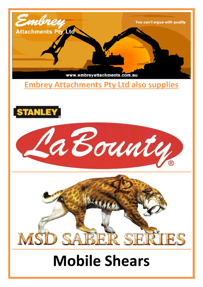

### **Embrey Attachments Pty Ltd also supplies**







# **Mobile Shears**